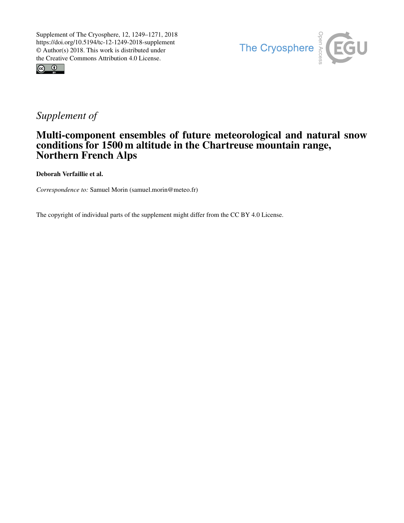



## *Supplement of*

## Multi-component ensembles of future meteorological and natural snow conditions for 1500 m altitude in the Chartreuse mountain range, Northern French Alps

Deborah Verfaillie et al.

*Correspondence to:* Samuel Morin (samuel.morin@meteo.fr)

The copyright of individual parts of the supplement might differ from the CC BY 4.0 License.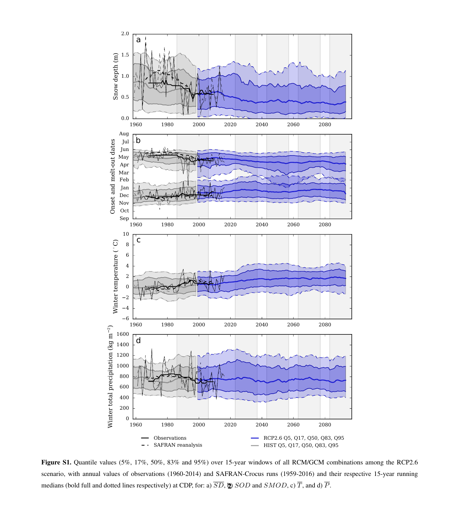

Figure S1. Quantile values (5%, 17%, 50%, 83% and 95%) over 15-year windows of all RCM/GCM combinations among the RCP2.6 scenario, with annual values of observations (1960-2014) and SAFRAN-Crocus runs (1959-2016) and their respective 15-year running medians (bold full and dotted lines respectively) at CDP, for: a)  $\overline{SD}$ ,  $\ddot{D}$ ,  $\ddot{D}$ ,  $\ddot{S}$  SOD and  $SMOD$ ,  $\ddot{D}$ ,  $\overline{T}$ , and d)  $\overline{P}$ .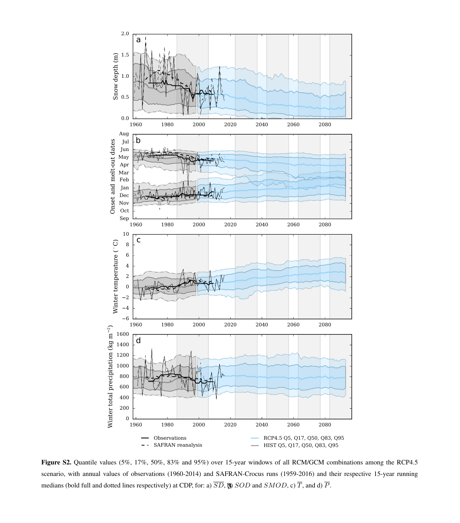

Figure S2. Quantile values (5%, 17%, 50%, 83% and 95%) over 15-year windows of all RCM/GCM combinations among the RCP4.5 scenario, with annual values of observations (1960-2014) and SAFRAN-Crocus runs (1959-2016) and their respective 15-year running medians (bold full and dotted lines respectively) at CDP, for: a)  $\overline{SD}$ ,  $\overline{B}$ ),  $\overline{SD}$  and  $SMOD$ ,  $\overline{CP}$ , and d)  $\overline{P}$ .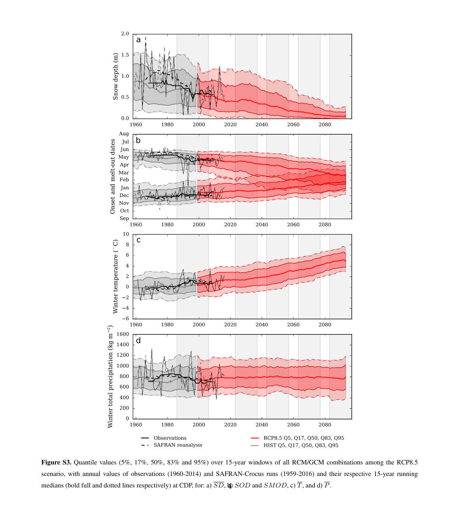

Figure S3. Quantile values (5%, 17%, 50%, 83% and 95%) over 15-year windows of all RCM/GCM combinations among the RCP8.5 scenario, with annual values of observations (1960-2014) and SAFRAN-Crocus runs (1959-2016) and their respective 15-year running medians (bold full and dotted lines respectively) at CDP, for: a)  $\overline{SD}$ ,  $\pmb{\psi}$ ,  $SOD$  and  $SMOD$ ,  $\overline{TP}$ , and d)  $\overline{P}$ .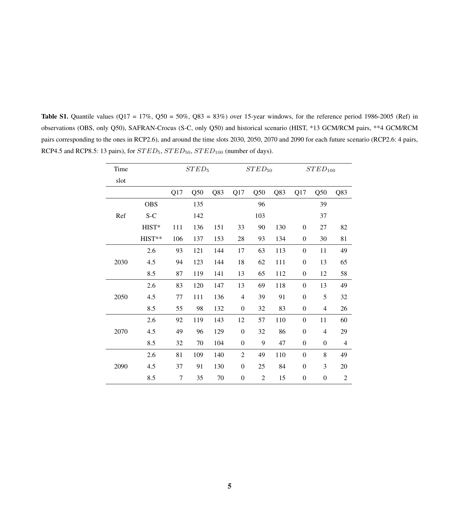| Time |            |        | STED <sub>5</sub> |     |                | $STED_{50}$    |     |                  | STED <sub>100</sub> |                |
|------|------------|--------|-------------------|-----|----------------|----------------|-----|------------------|---------------------|----------------|
| slot |            |        |                   |     |                |                |     |                  |                     |                |
|      |            | Q17    | Q50               | Q83 | Q17            | Q50            | Q83 | Q17              | Q50                 | Q83            |
|      | <b>OBS</b> |        | 135               |     |                | 96             |     |                  | 39                  |                |
| Ref  | S-C        |        | 142               |     |                | 103            |     |                  | 37                  |                |
|      | HIST*      | 111    | 136               | 151 | 33             | 90             | 130 | $\theta$         | 27                  | 82             |
|      | HIST**     | 106    | 137               | 153 | 28             | 93             | 134 | $\theta$         | 30                  | 81             |
|      | 2.6        | 93     | 121               | 144 | 17             | 63             | 113 | $\theta$         | 11                  | 49             |
| 2030 | 4.5        | 94     | 123               | 144 | 18             | 62             | 111 | $\theta$         | 13                  | 65             |
|      | 8.5        | 87     | 119               | 141 | 13             | 65             | 112 | $\theta$         | 12                  | 58             |
|      | 2.6        | 83     | 120               | 147 | 13             | 69             | 118 | $\theta$         | 13                  | 49             |
| 2050 | 4.5        | 77     | 111               | 136 | 4              | 39             | 91  | $\boldsymbol{0}$ | 5                   | 32             |
|      | 8.5        | 55     | 98                | 132 | $\theta$       | 32             | 83  | $\theta$         | 4                   | 26             |
|      | 2.6        | 92     | 119               | 143 | 12             | 57             | 110 | $\theta$         | 11                  | 60             |
| 2070 | 4.5        | 49     | 96                | 129 | $\theta$       | 32             | 86  | $\theta$         | $\overline{4}$      | 29             |
|      | 8.5        | 32     | 70                | 104 | $\mathbf{0}$   | 9              | 47  | $\theta$         | $\mathbf{0}$        | $\overline{4}$ |
|      | 2.6        | 81     | 109               | 140 | $\overline{2}$ | 49             | 110 | $\theta$         | 8                   | 49             |
| 2090 | 4.5        | 37     | 91                | 130 | $\mathbf{0}$   | 25             | 84  | $\theta$         | 3                   | 20             |
|      | 8.5        | $\tau$ | 35                | 70  | $\overline{0}$ | $\overline{c}$ | 15  | $\overline{0}$   | $\boldsymbol{0}$    | $\overline{c}$ |

**Table S1.** Quantile values (Q17 = 17%, Q50 = 50%, Q83 = 83%) over 15-year windows, for the reference period 1986-2005 (Ref) in observations (OBS, only Q50), SAFRAN-Crocus (S-C, only Q50) and historical scenario (HIST, \*13 GCM/RCM pairs, \*\*4 GCM/RCM pairs corresponding to the ones in RCP2.6), and around the time slots 2030, 2050, 2070 and 2090 for each future scenario (RCP2.6: 4 pairs, RCP4.5 and RCP8.5: 13 pairs), for  $STED_5$ ,  $STED_{50}$ ,  $STED_{100}$  (number of days).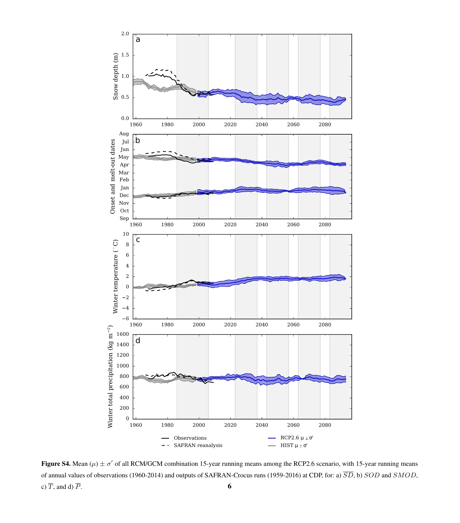

Figure S4. Mean ( $\mu$ )  $\pm \sigma'$  of all RCM/GCM combination 15-year running means among the RCP2.6 scenario, with 15-year running means of annual values of observations (1960-2014) and outputs of SAFRAN-Crocus runs (1959-2016) at CDP, for: a)  $\overline{SD}$ , b)  $SOD$  and  $SMOD$ , c)  $\overline{T}$ , and d)  $\overline{P}$ . 6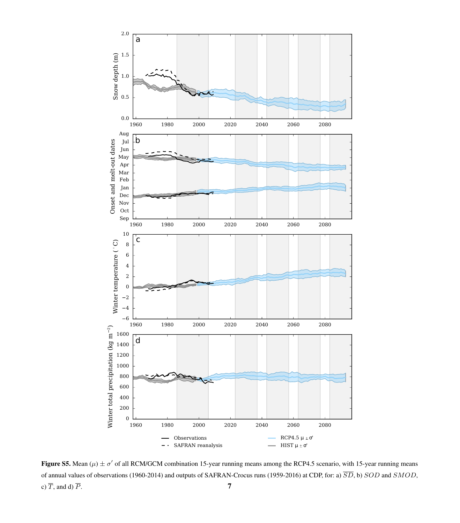

Figure S5. Mean ( $\mu$ )  $\pm \sigma'$  of all RCM/GCM combination 15-year running means among the RCP4.5 scenario, with 15-year running means of annual values of observations (1960-2014) and outputs of SAFRAN-Crocus runs (1959-2016) at CDP, for: a)  $\overline{SD}$ , b)  $SOD$  and  $SMOD$ , c)  $\overline{T}$ , and d)  $\overline{P}$ .  $\overline{7}$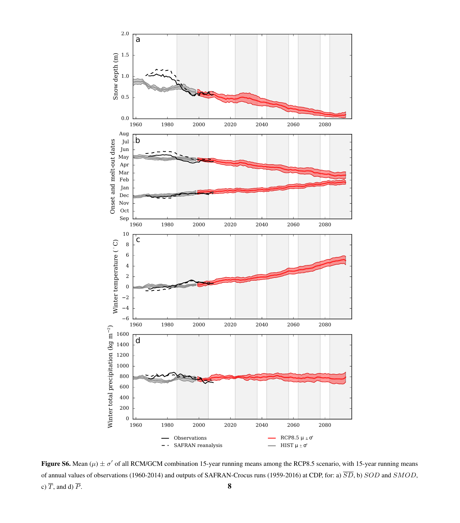

Figure S6. Mean ( $\mu$ )  $\pm \sigma'$  of all RCM/GCM combination 15-year running means among the RCP8.5 scenario, with 15-year running means of annual values of observations (1960-2014) and outputs of SAFRAN-Crocus runs (1959-2016) at CDP, for: a)  $\overline{SD}$ , b)  $SOD$  and  $SMOD$ , c)  $\overline{T}$ , and d)  $\overline{P}$ . 8